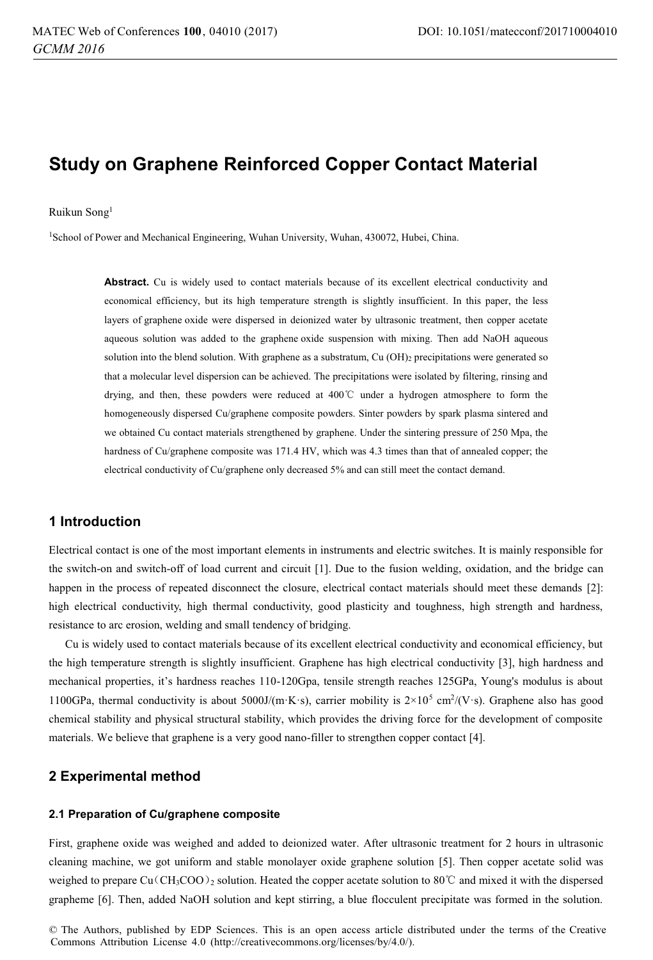# **Study on Graphene Reinforced Copper Contact Material**

#### Ruikun Song1

<sup>1</sup>School of Power and Mechanical Engineering, Wuhan University, Wuhan, 430072, Hubei, China.

Abstract. Cu is widely used to contact materials because of its excellent electrical conductivity and economical efficiency, but its high temperature strength is slightly insufficient. In this paper, the less layers of graphene oxide were dispersed in deionized water by ultrasonic treatment, then copper acetate aqueous solution was added to the graphene oxide suspension with mixing. Then add NaOH aqueous solution into the blend solution. With graphene as a substratum, Cu (OH)<sub>2</sub> precipitations were generated so that a molecular level dispersion can be achieved. The precipitations were isolated by filtering, rinsing and drying, and then, these powders were reduced at 400ć under a hydrogen atmosphere to form the homogeneously dispersed Cu/graphene composite powders. Sinter powders by spark plasma sintered and we obtained Cu contact materials strengthened by graphene. Under the sintering pressure of 250 Mpa, the hardness of Cu/graphene composite was 171.4 HV, which was 4.3 times than that of annealed copper; the electrical conductivity of Cu/graphene only decreased 5% and can still meet the contact demand.

# **1 Introduction**

Electrical contact is one of the most important elements in instruments and electric switches. It is mainly responsible for the switch-on and switch-off of load current and circuit [1]. Due to the fusion welding, oxidation, and the bridge can happen in the process of repeated disconnect the closure, electrical contact materials should meet these demands [2]: high electrical conductivity, high thermal conductivity, good plasticity and toughness, high strength and hardness, resistance to arc erosion, welding and small tendency of bridging.

Cu is widely used to contact materials because of its excellent electrical conductivity and economical efficiency, but the high temperature strength is slightly insufficient. Graphene has high electrical conductivity [3], high hardness and mechanical properties, it's hardness reaches 110-120Gpa, tensile strength reaches 125GPa, Young's modulus is about 1100GPa, thermal conductivity is about 5000J/(m·K·s), carrier mobility is  $2\times10^5$  cm<sup>2</sup>/(V·s). Graphene also has good chemical stability and physical structural stability, which provides the driving force for the development of composite materials. We believe that graphene is a very good nano-filler to strengthen copper contact [4].

### **2 Experimental method**

#### **2.1 Preparation of Cu/graphene composite**

First, graphene oxide was weighed and added to deionized water. After ultrasonic treatment for 2 hours in ultrasonic cleaning machine, we got uniform and stable monolayer oxide graphene solution [5]. Then copper acetate solid was weighed to prepare Cu $(\text{CH}_3COO)_2$  solution. Heated the copper acetate solution to 80°C and mixed it with the dispersed grapheme [6]. Then, added NaOH solution and kept stirring, a blue flocculent precipitate was formed in the solution.

 © The Authors, published by EDP Sciences. This is an open access article distributed under the terms of the Creative Commons Attribution License 4.0 (http://creativecommons.org/licenses/by/4.0/).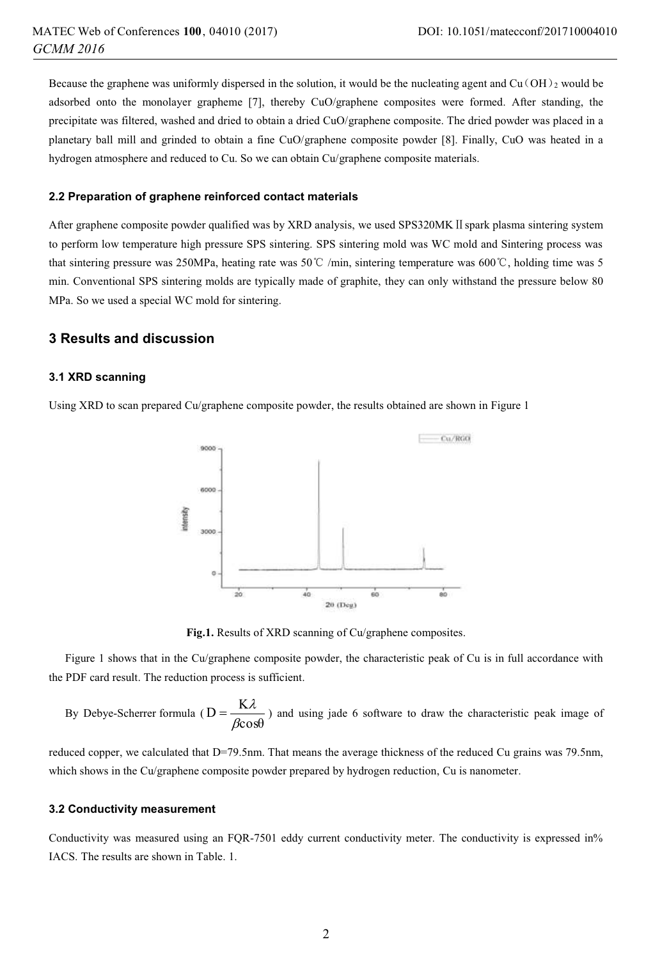Because the graphene was uniformly dispersed in the solution, it would be the nucleating agent and  $Cu(OH)_2$  would be adsorbed onto the monolayer grapheme [7], thereby CuO/graphene composites were formed. After standing, the precipitate was filtered, washed and dried to obtain a dried CuO/graphene composite. The dried powder was placed in a planetary ball mill and grinded to obtain a fine CuO/graphene composite powder [8]. Finally, CuO was heated in a hydrogen atmosphere and reduced to Cu. So we can obtain Cu/graphene composite materials.

#### **2.2 Preparation of graphene reinforced contact materials**

After graphene composite powder qualified was by XRD analysis, we used SPS320MK II spark plasma sintering system to perform low temperature high pressure SPS sintering. SPS sintering mold was WC mold and Sintering process was that sintering pressure was 250MPa, heating rate was 50 $\degree$  /min, sintering temperature was 600 $\degree$ C, holding time was 5 min. Conventional SPS sintering molds are typically made of graphite, they can only withstand the pressure below 80 MPa. So we used a special WC mold for sintering.

# **3 Results and discussion**

### **3.1 XRD scanning**

Using XRD to scan prepared Cu/graphene composite powder, the results obtained are shown in Figure 1



**Fig.1.** Results of XRD scanning of Cu/graphene composites.

Figure 1 shows that in the Cu/graphene composite powder, the characteristic peak of Cu is in full accordance with the PDF card result. The reduction process is sufficient.

By Debye-Scherrer formula ( $D = \frac{K\lambda}{\beta cos\theta}$ ) and using jade 6 software to draw the characteristic peak image of

reduced copper, we calculated that D=79.5nm. That means the average thickness of the reduced Cu grains was 79.5nm. which shows in the Cu/graphene composite powder prepared by hydrogen reduction, Cu is nanometer.

#### **3.2 Conductivity measurement**

Conductivity was measured using an FQR-7501 eddy current conductivity meter. The conductivity is expressed in% IACS. The results are shown in Table. 1.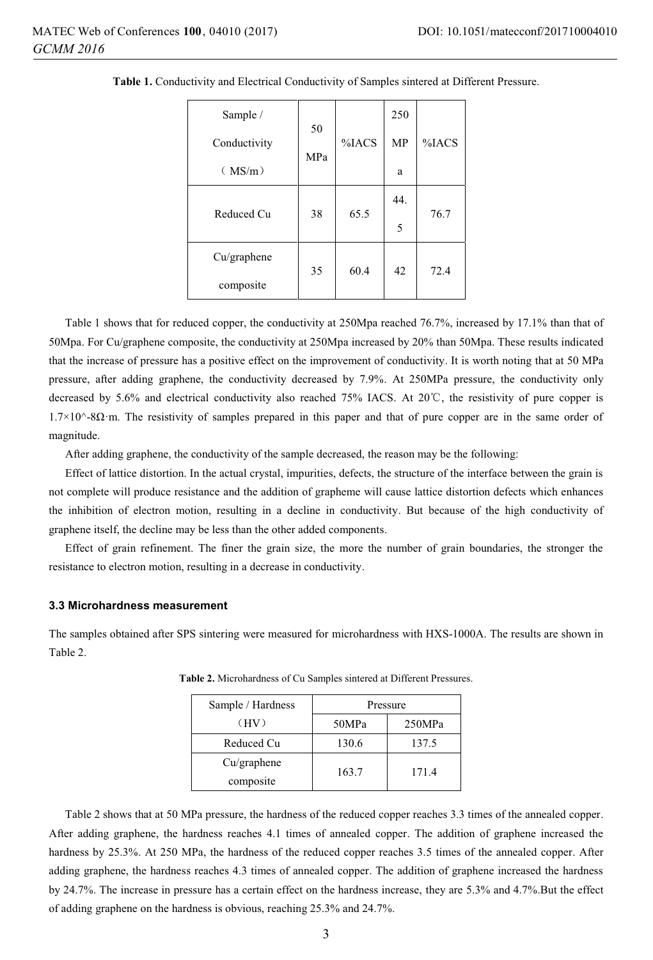| Sample /     | 50  |       | 250 |       |
|--------------|-----|-------|-----|-------|
| Conductivity | MPa | %IACS | MP  | %IACS |
| (MS/m)       |     |       | a   |       |
| Reduced Cu   | 38  | 65.5  | 44. | 76.7  |
|              |     |       | 5   |       |
| Cu/graphene  | 35  | 60.4  | 42  | 72.4  |
| composite    |     |       |     |       |

**Table 1.** Conductivity and Electrical Conductivity of Samples sintered at Different Pressure.

Table 1 shows that for reduced copper, the conductivity at 250Mpa reached 76.7%, increased by 17.1% than that of 50Mpa. For Cu/graphene composite, the conductivity at 250Mpa increased by 20% than 50Mpa. These results indicated that the increase of pressure has a positive effect on the improvement of conductivity. It is worth noting that at 50 MPa pressure, after adding graphene, the conductivity decreased by 7.9%. At 250MPa pressure, the conductivity only decreased by 5.6% and electrical conductivity also reached 75% IACS. At 20 $\degree$ C, the resistivity of pure copper is 1.7×10^-8Ω·m. The resistivity of samples prepared in this paper and that of pure copper are in the same order of magnitude.

After adding graphene, the conductivity of the sample decreased, the reason may be the following:

Effect of lattice distortion. In the actual crystal, impurities, defects, the structure of the interface between the grain is not complete will produce resistance and the addition of grapheme will cause lattice distortion defects which enhances the inhibition of electron motion, resulting in a decline in conductivity. But because of the high conductivity of graphene itself, the decline may be less than the other added components.

Effect of grain refinement. The finer the grain size, the more the number of grain boundaries, the stronger the resistance to electron motion, resulting in a decrease in conductivity.

### **3.3 Microhardness measurement**

The samples obtained after SPS sintering were measured for microhardness with HXS-1000A. The results are shown in Table 2.

| Sample / Hardness        | Pressure |        |  |
|--------------------------|----------|--------|--|
| (HV)                     | 50MPa    | 250MPa |  |
| Reduced Cu               | 130.6    | 137.5  |  |
| Cu/graphene<br>composite | 163.7    | 171.4  |  |
|                          |          |        |  |

**Table 2.** Microhardness of Cu Samples sintered at Different Pressures.

Table 2 shows that at 50 MPa pressure, the hardness of the reduced copper reaches 3.3 times of the annealed copper. After adding graphene, the hardness reaches 4.1 times of annealed copper. The addition of graphene increased the hardness by 25.3%. At 250 MPa, the hardness of the reduced copper reaches 3.5 times of the annealed copper. After adding graphene, the hardness reaches 4.3 times of annealed copper. The addition of graphene increased the hardness by 24.7%. The increase in pressure has a certain effect on the hardness increase, they are 5.3% and 4.7%.But the effect of adding graphene on the hardness is obvious, reaching 25.3% and 24.7%.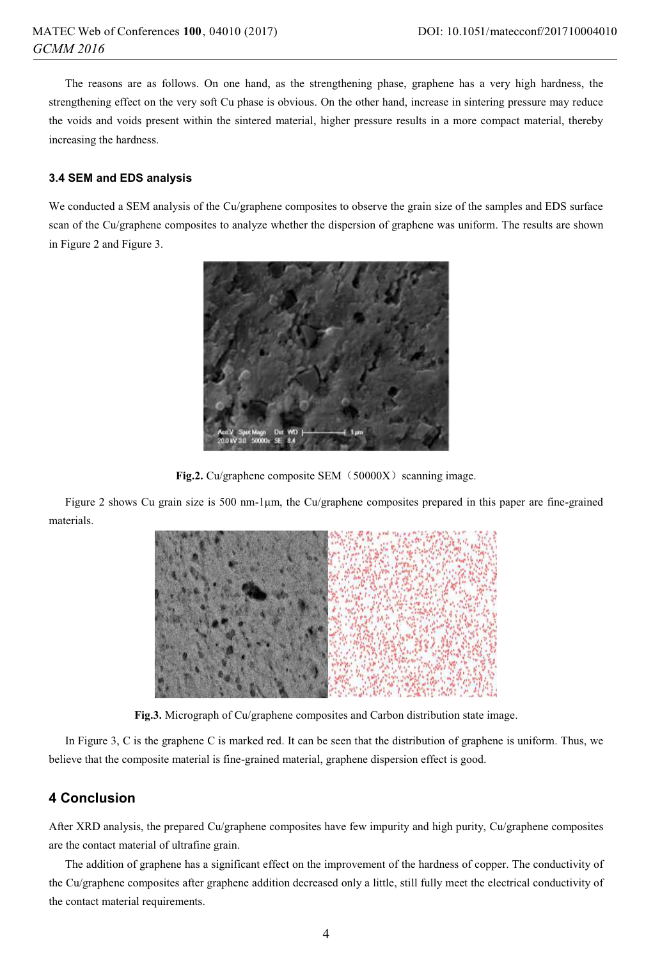The reasons are as follows. On one hand, as the strengthening phase, graphene has a very high hardness, the strengthening effect on the very soft Cu phase is obvious. On the other hand, increase in sintering pressure may reduce the voids and voids present within the sintered material, higher pressure results in a more compact material, thereby increasing the hardness.

### **3.4 SEM and EDS analysis**

We conducted a SEM analysis of the Cu/graphene composites to observe the grain size of the samples and EDS surface scan of the Cu/graphene composites to analyze whether the dispersion of graphene was uniform. The results are shown in Figure 2 and Figure 3.



Fig.2. Cu/graphene composite SEM (50000X) scanning image.

Figure 2 shows Cu grain size is 500 nm-1μm, the Cu/graphene composites prepared in this paper are fine-grained materials.



**Fig.3.** Micrograph of Cu/graphene composites and Carbon distribution state image.

In Figure 3, C is the graphene C is marked red. It can be seen that the distribution of graphene is uniform. Thus, we believe that the composite material is fine-grained material, graphene dispersion effect is good.

# **4 Conclusion**

After XRD analysis, the prepared Cu/graphene composites have few impurity and high purity, Cu/graphene composites are the contact material of ultrafine grain.

The addition of graphene has a significant effect on the improvement of the hardness of copper. The conductivity of the Cu/graphene composites after graphene addition decreased only a little, still fully meet the electrical conductivity of the contact material requirements.